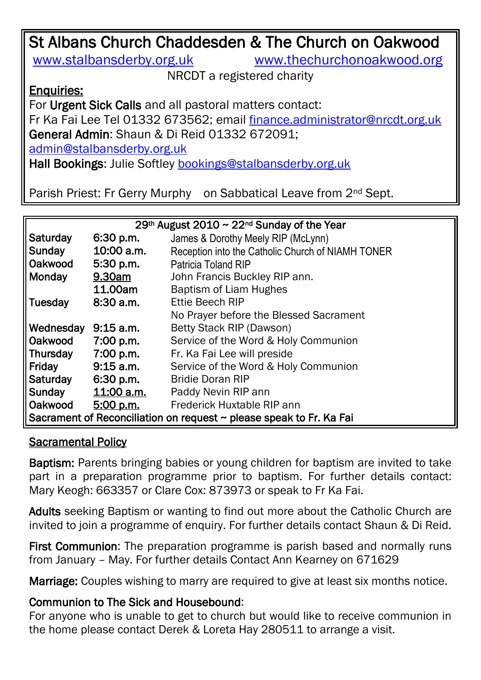# St Albans Church Chaddesden & The Church on Oakwood [www.stalbansderby.org.uk](http://www.stalbansderby.org.uk/) [www.thechurchonoakwood.org](http://www.thechurchonoakwood.org/) NRCDT a registered charity

Enquiries:

For Urgent Sick Calls and all pastoral matters contact: Fr Ka Fai Lee Tel 01332 673562; email [finance.administrator@nrcdt.org.uk](mailto:finance.administrator@nrcdt.org.uk) General Admin: Shaun & Di Reid 01332 672091; [admin@stalbansderby.org.uk](mailto:admin@stalbansderby.org.uk) Hall Bookings: Julie Softley [bookings@stalbansderby.org.uk](mailto:bookings@stalbansderby.org.uk)

Parish Priest: Fr Gerry Murphy on Sabbatical Leave from 2<sup>nd</sup> Sept.

| 29th August 2010 $\sim$ 22 <sup>nd</sup> Sunday of the Year         |             |                                                   |  |  |  |
|---------------------------------------------------------------------|-------------|---------------------------------------------------|--|--|--|
| Saturday                                                            | 6:30 p.m.   | James & Dorothy Meely RIP (McLynn)                |  |  |  |
| Sunday                                                              | 10:00 a.m.  | Reception into the Catholic Church of NIAMH TONER |  |  |  |
| Oakwood                                                             | $5:30$ p.m. | <b>Patricia Toland RIP</b>                        |  |  |  |
| Monday                                                              | 9.30am      | John Francis Buckley RIP ann.                     |  |  |  |
|                                                                     | 11.00am     | <b>Baptism of Liam Hughes</b>                     |  |  |  |
| Tuesday                                                             | 8:30a.m.    | Ettie Beech RIP                                   |  |  |  |
|                                                                     |             | No Prayer before the Blessed Sacrament            |  |  |  |
| Wednesday                                                           | $9:15$ a.m. | Betty Stack RIP (Dawson)                          |  |  |  |
| Oakwood                                                             | 7:00 p.m.   | Service of the Word & Holy Communion              |  |  |  |
| <b>Thursday</b>                                                     | 7:00 p.m.   | Fr. Ka Fai Lee will preside                       |  |  |  |
| Friday                                                              | $9:15$ a.m. | Service of the Word & Holy Communion              |  |  |  |
| <b>Saturday</b>                                                     | $6:30$ p.m. | <b>Bridie Doran RIP</b>                           |  |  |  |
| Sunday                                                              | 11:00 a.m.  | Paddy Nevin RIP ann                               |  |  |  |
| Oakwood                                                             | 5:00 p.m.   | Frederick Huxtable RIP ann                        |  |  |  |
| Sacrament of Reconciliation on request ~ please speak to Fr. Ka Fai |             |                                                   |  |  |  |

### Sacramental Policy

Baptism: Parents bringing babies or young children for baptism are invited to take part in a preparation programme prior to baptism. For further details contact: Mary Keogh: 663357 or Clare Cox: 873973 or speak to Fr Ka Fai.

Adults seeking Baptism or wanting to find out more about the Catholic Church are invited to join a programme of enquiry. For further details contact Shaun & Di Reid.

First Communion: The preparation programme is parish based and normally runs from January – May. For further details Contact Ann Kearney on 671629

Marriage: Couples wishing to marry are required to give at least six months notice.

### Communion to The Sick and Housebound:

For anyone who is unable to get to church but would like to receive communion in the home please contact Derek & Loreta Hay 280511 to arrange a visit.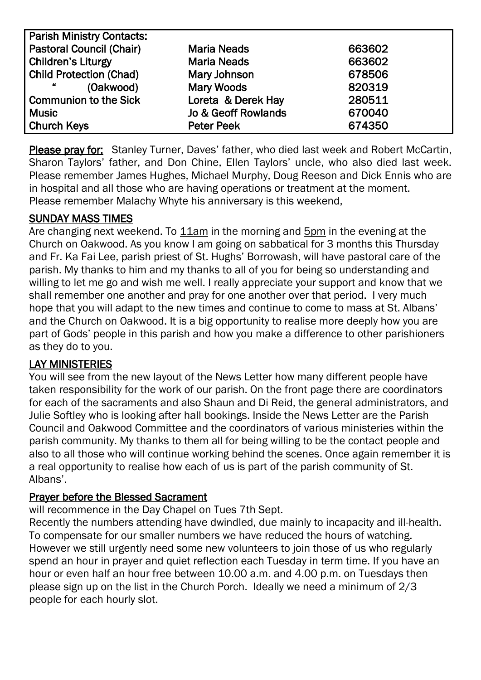| <b>Parish Ministry Contacts:</b> |                                |        |  |  |  |
|----------------------------------|--------------------------------|--------|--|--|--|
| <b>Pastoral Council (Chair)</b>  | <b>Maria Neads</b>             | 663602 |  |  |  |
| <b>Children's Liturgy</b>        | <b>Maria Neads</b>             | 663602 |  |  |  |
| <b>Child Protection (Chad)</b>   | Mary Johnson                   | 678506 |  |  |  |
| 44<br>(Oakwood)                  | <b>Mary Woods</b>              | 820319 |  |  |  |
| <b>Communion to the Sick</b>     | Loreta & Derek Hay             | 280511 |  |  |  |
| <b>Music</b>                     | <b>Jo &amp; Geoff Rowlands</b> | 670040 |  |  |  |
| <b>Church Keys</b>               | <b>Peter Peek</b>              | 674350 |  |  |  |

Please pray for: Stanley Turner, Daves' father, who died last week and Robert McCartin, Sharon Taylors' father, and Don Chine, Ellen Taylors' uncle, who also died last week. Please remember James Hughes, Michael Murphy, Doug Reeson and Dick Ennis who are in hospital and all those who are having operations or treatment at the moment. Please remember Malachy Whyte his anniversary is this weekend,

#### SUNDAY MASS TIMES

Are changing next weekend. To 11am in the morning and 5pm in the evening at the Church on Oakwood. As you know I am going on sabbatical for 3 months this Thursday and Fr. Ka Fai Lee, parish priest of St. Hughs' Borrowash, will have pastoral care of the parish. My thanks to him and my thanks to all of you for being so understanding and willing to let me go and wish me well. I really appreciate your support and know that we shall remember one another and pray for one another over that period. I very much hope that you will adapt to the new times and continue to come to mass at St. Albans' and the Church on Oakwood. It is a big opportunity to realise more deeply how you are part of Gods' people in this parish and how you make a difference to other parishioners as they do to you.

### LAY MINISTERIES

You will see from the new layout of the News Letter how many different people have taken responsibility for the work of our parish. On the front page there are coordinators for each of the sacraments and also Shaun and Di Reid, the general administrators, and Julie Softley who is looking after hall bookings. Inside the News Letter are the Parish Council and Oakwood Committee and the coordinators of various ministeries within the parish community. My thanks to them all for being willing to be the contact people and also to all those who will continue working behind the scenes. Once again remember it is a real opportunity to realise how each of us is part of the parish community of St. Albans'.

#### Prayer before the Blessed Sacrament

will recommence in the Day Chapel on Tues 7th Sept.

Recently the numbers attending have dwindled, due mainly to incapacity and ill-health. To compensate for our smaller numbers we have reduced the hours of watching. However we still urgently need some new volunteers to join those of us who regularly spend an hour in prayer and quiet reflection each Tuesday in term time. If you have an hour or even half an hour free between 10.00 a.m. and 4.00 p.m. on Tuesdays then please sign up on the list in the Church Porch. Ideally we need a minimum of 2/3 people for each hourly slot.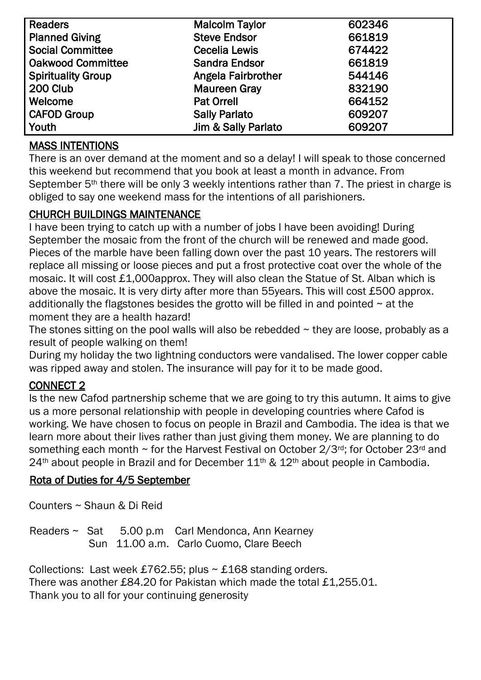| <b>Readers</b>            | <b>Malcolm Taylor</b>     | 602346 |
|---------------------------|---------------------------|--------|
| <b>Planned Giving</b>     | <b>Steve Endsor</b>       | 661819 |
| <b>Social Committee</b>   | <b>Cecelia Lewis</b>      | 674422 |
| <b>Oakwood Committee</b>  | <b>Sandra Endsor</b>      | 661819 |
| <b>Spirituality Group</b> | <b>Angela Fairbrother</b> | 544146 |
| 200 Club                  | <b>Maureen Gray</b>       | 832190 |
| Welcome                   | <b>Pat Orrell</b>         | 664152 |
| <b>CAFOD Group</b>        | <b>Sally Parlato</b>      | 609207 |
| Youth                     | Jim & Sally Parlato       | 609207 |

# MASS INTENTIONS

There is an over demand at the moment and so a delay! I will speak to those concerned this weekend but recommend that you book at least a month in advance. From September 5<sup>th</sup> there will be only 3 weekly intentions rather than 7. The priest in charge is obliged to say one weekend mass for the intentions of all parishioners.

### CHURCH BUILDINGS MAINTENANCE

I have been trying to catch up with a number of jobs I have been avoiding! During September the mosaic from the front of the church will be renewed and made good. Pieces of the marble have been falling down over the past 10 years. The restorers will replace all missing or loose pieces and put a frost protective coat over the whole of the mosaic. It will cost £1,000approx. They will also clean the Statue of St. Alban which is above the mosaic. It is very dirty after more than 55years. This will cost £500 approx. additionally the flagstones besides the grotto will be filled in and pointed  $\sim$  at the moment they are a health hazard!

The stones sitting on the pool walls will also be rebedded  $\sim$  they are loose, probably as a result of people walking on them!

During my holiday the two lightning conductors were vandalised. The lower copper cable was ripped away and stolen. The insurance will pay for it to be made good.

## CONNECT 2

Is the new Cafod partnership scheme that we are going to try this autumn. It aims to give us a more personal relationship with people in developing countries where Cafod is working. We have chosen to focus on people in Brazil and Cambodia. The idea is that we learn more about their lives rather than just giving them money. We are planning to do something each month  $\sim$  for the Harvest Festival on October 2/3<sup>rd</sup>; for October 23<sup>rd</sup> and  $24<sup>th</sup>$  about people in Brazil and for December  $11<sup>th</sup>$  &  $12<sup>th</sup>$  about people in Cambodia.

#### Rota of Duties for 4/5 September

Counters ~ Shaun & Di Reid

Readers ~ Sat 5.00 p.m Carl Mendonca, Ann Kearney Sun 11.00 a.m. Carlo Cuomo, Clare Beech

Collections: Last week £762.55; plus  $\sim$  £168 standing orders. There was another £84.20 for Pakistan which made the total £1,255.01. Thank you to all for your continuing generosity